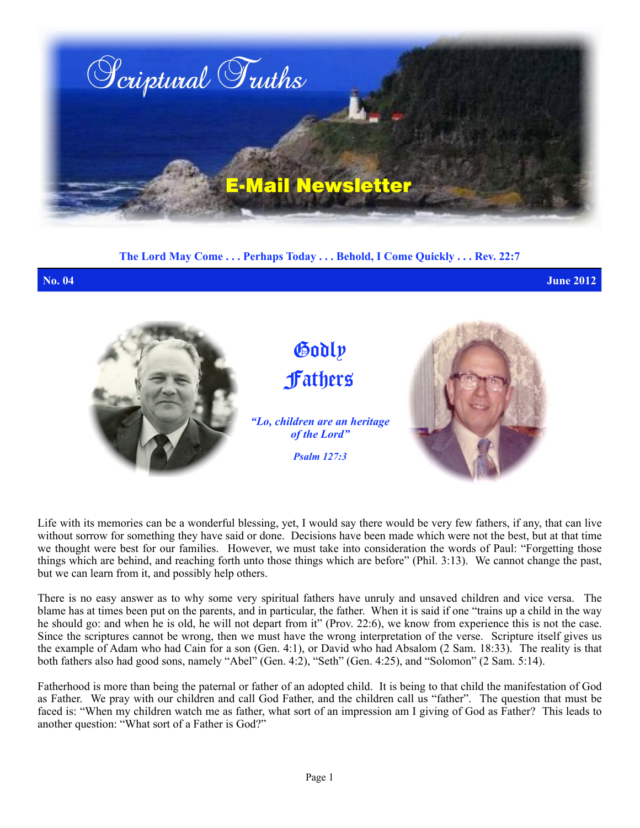

**The Lord May Come . . . Perhaps Today . . . Behold, I Come Quickly . . . Rev. 22:7**

**No. 04 June 2012**



Life with its memories can be a wonderful blessing, yet, I would say there would be very few fathers, if any, that can live without sorrow for something they have said or done. Decisions have been made which were not the best, but at that time we thought were best for our families. However, we must take into consideration the words of Paul: "Forgetting those things which are behind, and reaching forth unto those things which are before" (Phil. 3:13). We cannot change the past, but we can learn from it, and possibly help others.

There is no easy answer as to why some very spiritual fathers have unruly and unsaved children and vice versa. The blame has at times been put on the parents, and in particular, the father. When it is said if one "trains up a child in the way he should go: and when he is old, he will not depart from it" (Prov. 22:6), we know from experience this is not the case. Since the scriptures cannot be wrong, then we must have the wrong interpretation of the verse. Scripture itself gives us the example of Adam who had Cain for a son (Gen. 4:1), or David who had Absalom (2 Sam. 18:33). The reality is that both fathers also had good sons, namely "Abel" (Gen. 4:2), "Seth" (Gen. 4:25), and "Solomon" (2 Sam. 5:14).

Fatherhood is more than being the paternal or father of an adopted child. It is being to that child the manifestation of God as Father. We pray with our children and call God Father, and the children call us "father". The question that must be faced is: "When my children watch me as father, what sort of an impression am I giving of God as Father? This leads to another question: "What sort of a Father is God?"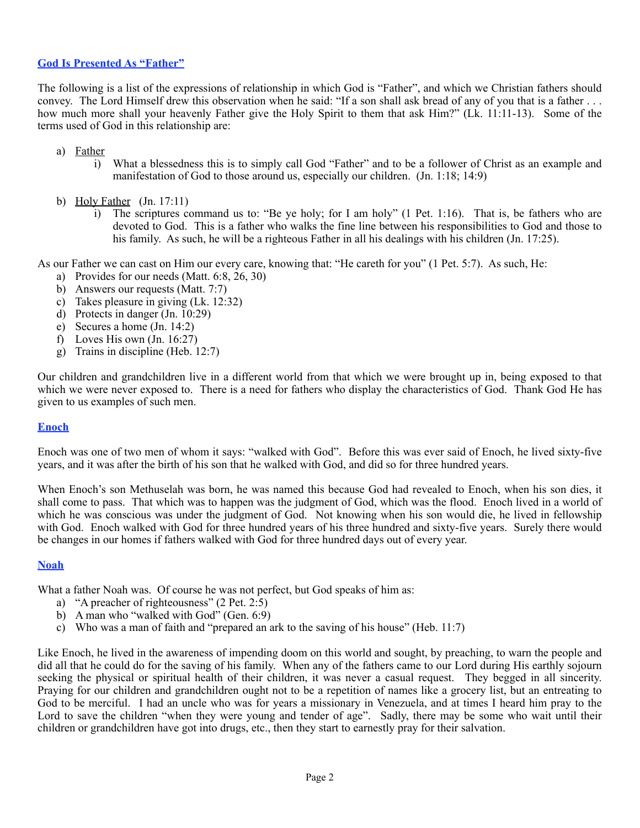# **God Is Presented As "Father"**

The following is a list of the expressions of relationship in which God is "Father", and which we Christian fathers should convey. The Lord Himself drew this observation when he said: "If a son shall ask bread of any of you that is a father . . . how much more shall your heavenly Father give the Holy Spirit to them that ask Him?" (Lk. 11:11-13). Some of the terms used of God in this relationship are:

- a) Father
	- i) What a blessedness this is to simply call God "Father" and to be a follower of Christ as an example and manifestation of God to those around us, especially our children. (Jn. 1:18; 14:9)
- b) Holy Father (Jn. 17:11)
	- i) The scriptures command us to: "Be ye holy; for I am holy" (1 Pet. 1:16). That is, be fathers who are devoted to God. This is a father who walks the fine line between his responsibilities to God and those to his family. As such, he will be a righteous Father in all his dealings with his children (Jn. 17:25).

As our Father we can cast on Him our every care, knowing that: "He careth for you" (1 Pet. 5:7). As such, He:

- a) Provides for our needs (Matt. 6:8, 26, 30)
- b) Answers our requests (Matt. 7:7)
- c) Takes pleasure in giving (Lk. 12:32)
- d) Protects in danger (Jn. 10:29)
- e) Secures a home (Jn. 14:2)
- f) Loves His own  $($ Jn. 16:27 $)$
- g) Trains in discipline (Heb. 12:7)

Our children and grandchildren live in a different world from that which we were brought up in, being exposed to that which we were never exposed to. There is a need for fathers who display the characteristics of God. Thank God He has given to us examples of such men.

### **Enoch**

Enoch was one of two men of whom it says: "walked with God". Before this was ever said of Enoch, he lived sixty-five years, and it was after the birth of his son that he walked with God, and did so for three hundred years.

When Enoch's son Methuselah was born, he was named this because God had revealed to Enoch, when his son dies, it shall come to pass. That which was to happen was the judgment of God, which was the flood. Enoch lived in a world of which he was conscious was under the judgment of God. Not knowing when his son would die, he lived in fellowship with God. Enoch walked with God for three hundred years of his three hundred and sixty-five years. Surely there would be changes in our homes if fathers walked with God for three hundred days out of every year.

### **Noah**

What a father Noah was. Of course he was not perfect, but God speaks of him as:

- a) "A preacher of righteousness" (2 Pet. 2:5)
- b) A man who "walked with God" (Gen. 6:9)
- c) Who was a man of faith and "prepared an ark to the saving of his house" (Heb. 11:7)

Like Enoch, he lived in the awareness of impending doom on this world and sought, by preaching, to warn the people and did all that he could do for the saving of his family. When any of the fathers came to our Lord during His earthly sojourn seeking the physical or spiritual health of their children, it was never a casual request. They begged in all sincerity. Praying for our children and grandchildren ought not to be a repetition of names like a grocery list, but an entreating to God to be merciful. I had an uncle who was for years a missionary in Venezuela, and at times I heard him pray to the Lord to save the children "when they were young and tender of age". Sadly, there may be some who wait until their children or grandchildren have got into drugs, etc., then they start to earnestly pray for their salvation.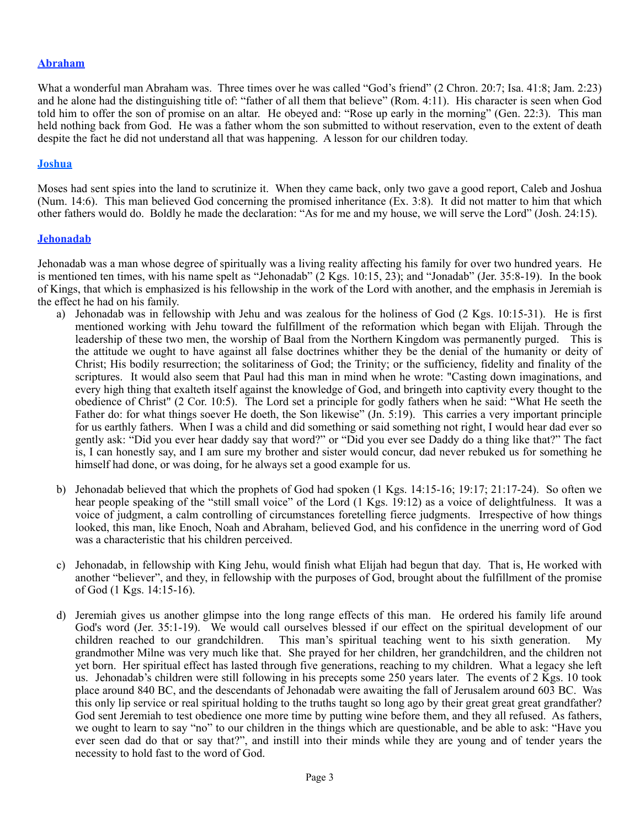# **Abraham**

What a wonderful man Abraham was. Three times over he was called "God's friend" (2 Chron. 20:7; Isa. 41:8; Jam. 2:23) and he alone had the distinguishing title of: "father of all them that believe" (Rom. 4:11). His character is seen when God told him to offer the son of promise on an altar. He obeyed and: "Rose up early in the morning" (Gen. 22:3). This man held nothing back from God. He was a father whom the son submitted to without reservation, even to the extent of death despite the fact he did not understand all that was happening. A lesson for our children today.

## **Joshua**

Moses had sent spies into the land to scrutinize it. When they came back, only two gave a good report, Caleb and Joshua (Num. 14:6). This man believed God concerning the promised inheritance (Ex. 3:8). It did not matter to him that which other fathers would do. Boldly he made the declaration: "As for me and my house, we will serve the Lord" (Josh. 24:15).

## **Jehonadab**

Jehonadab was a man whose degree of spiritually was a living reality affecting his family for over two hundred years. He is mentioned ten times, with his name spelt as "Jehonadab" ( $\overline{2}$  Kgs. 10:15, 23); and "Jonadab" (Jer. 35:8-19). In the book of Kings, that which is emphasized is his fellowship in the work of the Lord with another, and the emphasis in Jeremiah is the effect he had on his family.

- a) Jehonadab was in fellowship with Jehu and was zealous for the holiness of God (2 Kgs. 10:15-31). He is first mentioned working with Jehu toward the fulfillment of the reformation which began with Elijah. Through the leadership of these two men, the worship of Baal from the Northern Kingdom was permanently purged. This is the attitude we ought to have against all false doctrines whither they be the denial of the humanity or deity of Christ; His bodily resurrection; the solitariness of God; the Trinity; or the sufficiency, fidelity and finality of the scriptures. It would also seem that Paul had this man in mind when he wrote: "Casting down imaginations, and every high thing that exalteth itself against the knowledge of God, and bringeth into captivity every thought to the obedience of Christ" (2 Cor. 10:5). The Lord set a principle for godly fathers when he said: "What He seeth the Father do: for what things soever He doeth, the Son likewise" (Jn. 5:19). This carries a very important principle for us earthly fathers. When I was a child and did something or said something not right, I would hear dad ever so gently ask: "Did you ever hear daddy say that word?" or "Did you ever see Daddy do a thing like that?" The fact is, I can honestly say, and I am sure my brother and sister would concur, dad never rebuked us for something he himself had done, or was doing, for he always set a good example for us.
- b) Jehonadab believed that which the prophets of God had spoken (1 Kgs. 14:15-16; 19:17; 21:17-24). So often we hear people speaking of the "still small voice" of the Lord (1 Kgs. 19:12) as a voice of delightfulness. It was a voice of judgment, a calm controlling of circumstances foretelling fierce judgments. Irrespective of how things looked, this man, like Enoch, Noah and Abraham, believed God, and his confidence in the unerring word of God was a characteristic that his children perceived.
- c) Jehonadab, in fellowship with King Jehu, would finish what Elijah had begun that day. That is, He worked with another "believer", and they, in fellowship with the purposes of God, brought about the fulfillment of the promise of God (1 Kgs. 14:15-16).
- d) Jeremiah gives us another glimpse into the long range effects of this man. He ordered his family life around God's word (Jer. 35:1-19). We would call ourselves blessed if our effect on the spiritual development of our children reached to our grandchildren. This man's spiritual teaching went to his sixth generation. My This man's spiritual teaching went to his sixth generation. My grandmother Milne was very much like that. She prayed for her children, her grandchildren, and the children not yet born. Her spiritual effect has lasted through five generations, reaching to my children. What a legacy she left us. Jehonadab's children were still following in his precepts some 250 years later. The events of 2 Kgs. 10 took place around 840 BC, and the descendants of Jehonadab were awaiting the fall of Jerusalem around 603 BC. Was this only lip service or real spiritual holding to the truths taught so long ago by their great great great grandfather? God sent Jeremiah to test obedience one more time by putting wine before them, and they all refused. As fathers, we ought to learn to say "no" to our children in the things which are questionable, and be able to ask: "Have you ever seen dad do that or say that?", and instill into their minds while they are young and of tender years the necessity to hold fast to the word of God.